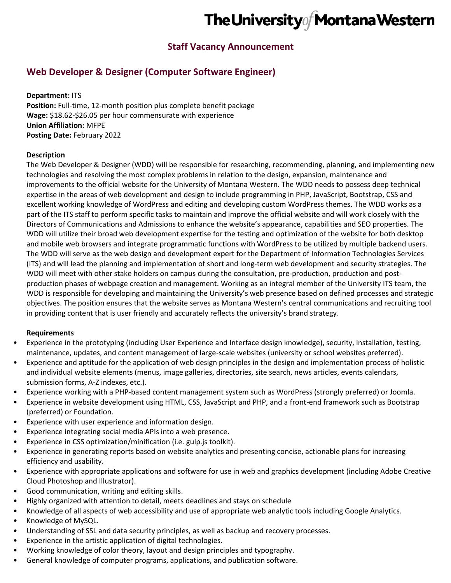# The University of Montana Western

### **Staff Vacancy Announcement**

## **Web Developer & Designer (Computer Software Engineer)**

**Department:** ITS **Position:** Full-time, 12-month position plus complete benefit package **Wage:** \$18.62-\$26.05 per hour commensurate with experience **Union Affiliation:** MFPE **Posting Date:** February 2022

#### **Description**

The Web Developer & Designer (WDD) will be responsible for researching, recommending, planning, and implementing new technologies and resolving the most complex problems in relation to the design, expansion, maintenance and improvements to the official website for the University of Montana Western. The WDD needs to possess deep technical expertise in the areas of web development and design to include programming in PHP, JavaScript, Bootstrap, CSS and excellent working knowledge of WordPress and editing and developing custom WordPress themes. The WDD works as a part of the ITS staff to perform specific tasks to maintain and improve the official website and will work closely with the Directors of Communications and Admissions to enhance the website's appearance, capabilities and SEO properties. The WDD will utilize their broad web development expertise for the testing and optimization of the website for both desktop and mobile web browsers and integrate programmatic functions with WordPress to be utilized by multiple backend users. The WDD will serve as the web design and development expert for the Department of Information Technologies Services (ITS) and will lead the planning and implementation of short and long-term web development and security strategies. The WDD will meet with other stake holders on campus during the consultation, pre-production, production and postproduction phases of webpage creation and management. Working as an integral member of the University ITS team, the WDD is responsible for developing and maintaining the University's web presence based on defined processes and strategic objectives. The position ensures that the website serves as Montana Western's central communications and recruiting tool in providing content that is user friendly and accurately reflects the university's brand strategy.

#### **Requirements**

- Experience in the prototyping (including User Experience and Interface design knowledge), security, installation, testing, maintenance, updates, and content management of large-scale websites (university or school websites preferred).
- Experience and aptitude for the application of web design principles in the design and implementation process of holistic and individual website elements (menus, image galleries, directories, site search, news articles, events calendars, submission forms, A-Z indexes, etc.).
- Experience working with a PHP-based content management system such as WordPress (strongly preferred) or Joomla.
- Experience in website development using HTML, CSS, JavaScript and PHP, and a front-end framework such as Bootstrap (preferred) or Foundation.
- Experience with user experience and information design.
- Experience integrating social media APIs into a web presence.
- Experience in CSS optimization/minification (i.e. gulp.js toolkit).
- Experience in generating reports based on website analytics and presenting concise, actionable plans for increasing efficiency and usability.
- Experience with appropriate applications and software for use in web and graphics development (including Adobe Creative Cloud Photoshop and Illustrator).
- Good communication, writing and editing skills.
- Highly organized with attention to detail, meets deadlines and stays on schedule
- Knowledge of all aspects of web accessibility and use of appropriate web analytic tools including Google Analytics.
- Knowledge of MySQL.
- Understanding of SSL and data security principles, as well as backup and recovery processes.
- Experience in the artistic application of digital technologies.
- Working knowledge of color theory, layout and design principles and typography.
- General knowledge of computer programs, applications, and publication software.